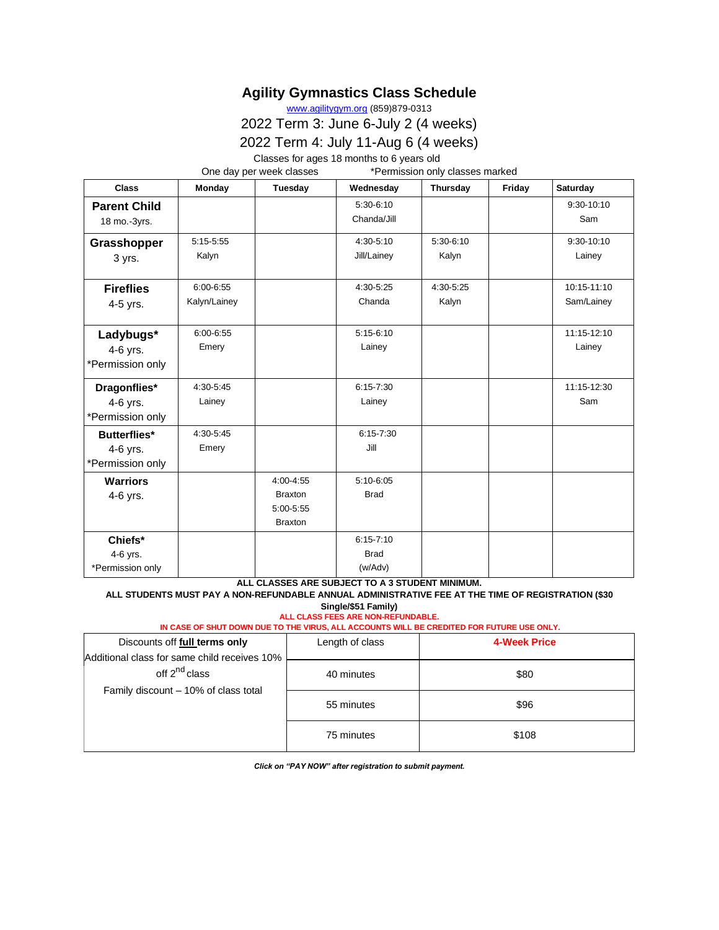## **Agility Gymnastics Class Schedule**

[www.agilitygym.org](http://www.agilitygym.org/) (859)879-0313

2022 Term 3: June 6-July 2 (4 weeks)

2022 Term 4: July 11-Aug 6 (4 weeks)

Classes for ages 18 months to 6 years old

One day per week classes \*Permission only classes marked

| <b>Class</b>                                        | Monday                    | Tuesday                                                    | Wednesday                               | Thursday               | Friday | Saturday                  |
|-----------------------------------------------------|---------------------------|------------------------------------------------------------|-----------------------------------------|------------------------|--------|---------------------------|
| <b>Parent Child</b><br>18 mo.-3yrs.                 |                           |                                                            | $5:30-6:10$<br>Chanda/Jill              |                        |        | $9:30-10:10$<br>Sam       |
| Grasshopper<br>3 yrs.                               | $5:15-5:55$<br>Kalyn      |                                                            | 4:30-5:10<br>Jill/Lainey                | $5:30-6:10$<br>Kalyn   |        | 9:30-10:10<br>Lainey      |
| <b>Fireflies</b><br>4-5 yrs.                        | 6:00-6:55<br>Kalyn/Lainey |                                                            | 4:30-5:25<br>Chanda                     | $4:30 - 5:25$<br>Kalyn |        | 10:15-11:10<br>Sam/Lainey |
| Ladybugs*<br>4-6 yrs.<br>*Permission only           | 6:00-6:55<br>Emery        |                                                            | $5:15-6:10$<br>Lainey                   |                        |        | 11:15-12:10<br>Lainey     |
| Dragonflies*<br>4-6 yrs.<br>*Permission only        | 4:30-5:45<br>Lainey       |                                                            | $6:15 - 7:30$<br>Lainey                 |                        |        | 11:15-12:30<br>Sam        |
| <b>Butterflies*</b><br>4-6 yrs.<br>*Permission only | $4:30 - 5:45$<br>Emery    |                                                            | $6:15 - 7:30$<br>Jill                   |                        |        |                           |
| <b>Warriors</b><br>4-6 yrs.                         |                           | 4:00-4:55<br><b>Braxton</b><br>5:00-5:55<br><b>Braxton</b> | $5:10-6:05$<br><b>Brad</b>              |                        |        |                           |
| Chiefs*<br>4-6 yrs.<br>*Permission only             |                           |                                                            | $6:15 - 7:10$<br><b>Brad</b><br>(w/Adv) |                        |        |                           |

#### **ALL CLASSES ARE SUBJECT TO A 3 STUDENT MINIMUM. ALL STUDENTS MUST PAY A NON-REFUNDABLE ANNUAL ADMINISTRATIVE FEE AT THE TIME OF REGISTRATION (\$30 Single/\$51 Family)**

**ALL CLASS FEES ARE NON-REFUNDABLE. IN CASE OF SHUT DOWN DUE TO THE VIRUS, ALL ACCOUNTS WILL BE CREDITED FOR FUTURE USE ONLY.**

| Discounts off full terms only                                             | Length of class | <b>4-Week Price</b> |
|---------------------------------------------------------------------------|-----------------|---------------------|
| Additional class for same child receives 10%<br>off 2 <sup>nd</sup> class | 40 minutes      | \$80                |
| Family discount - 10% of class total                                      | 55 minutes      | \$96                |
|                                                                           | 75 minutes      | \$108               |

*Click on "PAY NOW" after registration to submit payment.*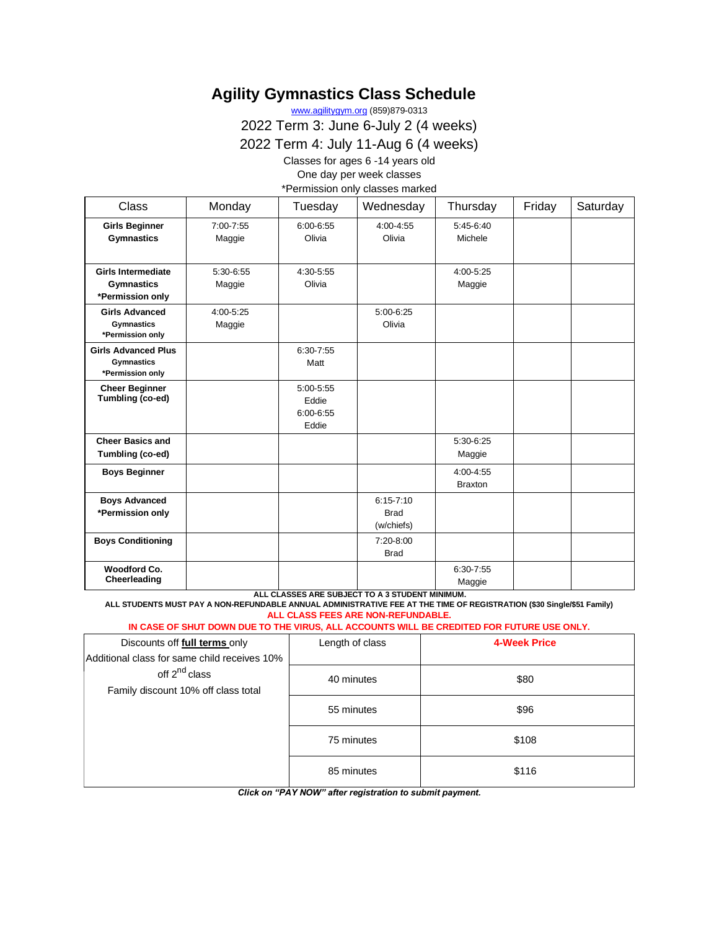# **Agility Gymnastics Class Schedule**

[www.agilitygym.org](http://www.agilitygym.org/) (859)879-0313

2022 Term 3: June 6-July 2 (4 weeks)

2022 Term 4: July 11-Aug 6 (4 weeks)

Classes for ages 6 -14 years old

One day per week classes

\*Permission only classes marked

| <b>Class</b>                                                        | Monday              | Tuesday                                      | Wednesday                                  | Thursday                        | Friday | Saturday |
|---------------------------------------------------------------------|---------------------|----------------------------------------------|--------------------------------------------|---------------------------------|--------|----------|
| <b>Girls Beginner</b><br><b>Gymnastics</b>                          | 7:00-7:55<br>Maggie | $6:00 - 6:55$<br>Olivia                      | 4:00-4:55<br>Olivia                        | $5:45-6:40$<br>Michele          |        |          |
| <b>Girls Intermediate</b><br><b>Gymnastics</b><br>*Permission only  | 5:30-6:55<br>Maggie | 4:30-5:55<br>Olivia                          |                                            | 4:00-5:25<br>Maggie             |        |          |
| <b>Girls Advanced</b><br><b>Gymnastics</b><br>*Permission only      | 4:00-5:25<br>Maggie |                                              | 5:00-6:25<br>Olivia                        |                                 |        |          |
| <b>Girls Advanced Plus</b><br><b>Gymnastics</b><br>*Permission only |                     | $6:30 - 7:55$<br>Matt                        |                                            |                                 |        |          |
| <b>Cheer Beginner</b><br>Tumbling (co-ed)                           |                     | 5:00-5:55<br>Eddie<br>$6:00 - 6:55$<br>Eddie |                                            |                                 |        |          |
| <b>Cheer Basics and</b><br>Tumbling (co-ed)                         |                     |                                              |                                            | 5:30-6:25<br>Maggie             |        |          |
| <b>Boys Beginner</b>                                                |                     |                                              |                                            | $4:00 - 4:55$<br><b>Braxton</b> |        |          |
| <b>Boys Advanced</b><br>*Permission only                            |                     |                                              | $6:15 - 7:10$<br><b>Brad</b><br>(w/chiefs) |                                 |        |          |
| <b>Boys Conditioning</b>                                            |                     |                                              | 7:20-8:00<br><b>Brad</b>                   |                                 |        |          |
| Woodford Co.<br>Cheerleading                                        |                     |                                              |                                            | 6:30-7:55<br>Maggie             |        |          |

**ALL CLASSES ARE SUBJECT TO A 3 STUDENT MINIMUM.**

**ALL STUDENTS MUST PAY A NON-REFUNDABLE ANNUAL ADMINISTRATIVE FEE AT THE TIME OF REGISTRATION (\$30 Single/\$51 Family) ALL CLASS FEES ARE NON-REFUNDABLE.** 

### **IN CASE OF SHUT DOWN DUE TO THE VIRUS, ALL ACCOUNTS WILL BE CREDITED FOR FUTURE USE ONLY.**

| Discounts off <b>full terms</b> only                             | Length of class | 4-Week Price |
|------------------------------------------------------------------|-----------------|--------------|
| Additional class for same child receives 10%                     |                 |              |
| off 2 <sup>nd</sup> class<br>Family discount 10% off class total | 40 minutes      | \$80         |
|                                                                  | 55 minutes      | \$96         |
|                                                                  | 75 minutes      | \$108        |
|                                                                  | 85 minutes      | \$116        |

*Click on "PAY NOW" after registration to submit payment.*